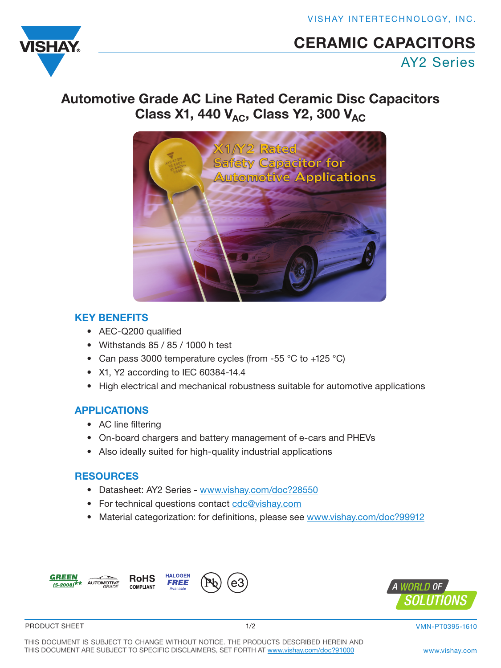VISHAY INTERTECHNOLOGY, INC.

<span id="page-0-0"></span>

# CERAMIC CAPACITORS

AY2 Series

# [Autom](http://www.vishay.com)otive Grade AC Line Rated Ceramic Disc Capacitors Class X1, 440  $V_{AC}$ , Class Y2, 300  $V_{AC}$



## KEY BENEFITS

- AEC-Q200 qualified
- Withstands 85 / 85 / 1000 h test
- Can pass 3000 temperature cycles (from -55 °C to +125 °C)
- X1, Y2 according to IEC 60384-14.4
- High electrical and mechanical robustness suitable for automotive applications

## APPLICATIONS

- AC line filtering
- On-board chargers and battery management of e-cars and PHEVs
- Also ideally suited for high-quality industrial applications

## **RESOURCES**

- Datasheet: AY2 Series www.vishay.com/doc?28550
- For technical questions contact cdc@vishay.com
- Material categorization: for definitions, please see www.vishay.com/doc?99912





PRODUCT SHEET

1/2 VMN-PT0395-1610